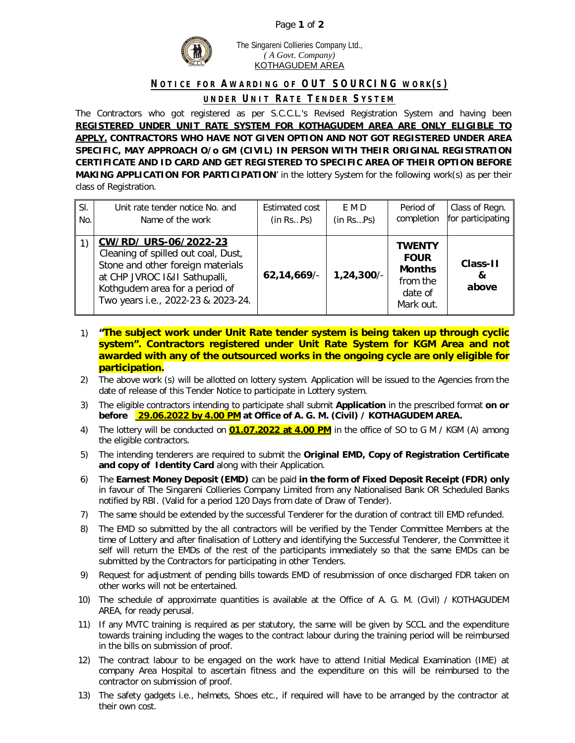## Page **1** of **2**



The Singareni Collieries Company Ltd., *( A Govt. Company)* KOTHAGUDEM AREA

## **NOTICE FOR AWARDING OF OUT SOURCING WORK(S)**

## **UNDER UN IT RATE TENDER SYSTEM**

The Contractors who got registered as per S.C.C.L.'s Revised Registration System and having been **REGISTERED UNDER UNIT RATE SYSTEM FOR KOTHAGUDEM AREA ARE ONLY ELIGIBLE TO APPLY. CONTRACTORS WHO HAVE NOT GIVEN OPTION AND NOT GOT REGISTERED UNDER AREA SPECIFIC, MAY APPROACH O/o GM (CIVIL) IN PERSON WITH THEIR ORIGINAL REGISTRATION CERTIFICATE AND ID CARD AND GET REGISTERED TO SPECIFIC AREA OF THEIR OPTION BEFORE MAKING APPLICATION FOR PARTICIPATION**' in the lottery System for the following work(s) as per their class of Registration.

| SI. | Unit rate tender notice No. and                                                                                                                                                                            | <b>Estimated cost</b> | E M D        | Period of                                                                         | Class of Regn.         |
|-----|------------------------------------------------------------------------------------------------------------------------------------------------------------------------------------------------------------|-----------------------|--------------|-----------------------------------------------------------------------------------|------------------------|
| No. | Name of the work                                                                                                                                                                                           | (in RsPs)             | (in RsPs)    | completion                                                                        | for participating      |
|     | CW/RD/ URS-06/2022-23<br>Cleaning of spilled out coal, Dust,<br>Stone and other foreign materials<br>at CHP JVROC 1&11 Sathupalli,<br>Kothgudem area for a period of<br>Two years i.e., 2022-23 & 2023-24. | 62,14,669/            | $1,24,300/-$ | <b>TWENTY</b><br><b>FOUR</b><br><b>Months</b><br>from the<br>date of<br>Mark out. | Class-11<br>&<br>above |

- 1) **"The subject work under Unit Rate tender system is being taken up through cyclic system". Contractors registered under Unit Rate System for KGM Area and not awarded with any of the outsourced works in the ongoing cycle are only eligible for participation.**
- 2) The above work (s) will be allotted on lottery system. Application will be issued to the Agencies from the date of release of this Tender Notice to participate in Lottery system.
- 3) The eligible contractors intending to participate shall submit **Application** in the prescribed format **on or before 29.06.2022 by 4.00 PM at Office of A. G. M. (Civil) / KOTHAGUDEM AREA.**
- 4) The lottery will be conducted on **01.07.2022 at 4.00 PM** in the office of SO to G M / KGM (A) among the eligible contractors.
- 5) The intending tenderers are required to submit the **Original EMD, Copy of Registration Certificate and copy of Identity Card** along with their Application.
- 6) The **Earnest Money Deposit (EMD)** can be paid **in the form of Fixed Deposit Receipt (FDR) only**  in favour of The Singareni Collieries Company Limited from any Nationalised Bank OR Scheduled Banks notified by RBI. (Valid for a period 120 Days from date of Draw of Tender).
- 7) The same should be extended by the successful Tenderer for the duration of contract till EMD refunded.
- 8) The EMD so submitted by the all contractors will be verified by the Tender Committee Members at the time of Lottery and after finalisation of Lottery and identifying the Successful Tenderer, the Committee it self will return the EMDs of the rest of the participants immediately so that the same EMDs can be submitted by the Contractors for participating in other Tenders.
- 9) Request for adjustment of pending bills towards EMD of resubmission of once discharged FDR taken on other works will not be entertained.
- 10) The schedule of approximate quantities is available at the Office of A. G. M. (Civil) / KOTHAGUDEM AREA, for ready perusal.
- 11) If any MVTC training is required as per statutory, the same will be given by SCCL and the expenditure towards training including the wages to the contract labour during the training period will be reimbursed in the bills on submission of proof.
- 12) The contract labour to be engaged on the work have to attend Initial Medical Examination (IME) at company Area Hospital to ascertain fitness and the expenditure on this will be reimbursed to the contractor on submission of proof.
- 13) The safety gadgets i.e., helmets, Shoes etc., if required will have to be arranged by the contractor at their own cost.